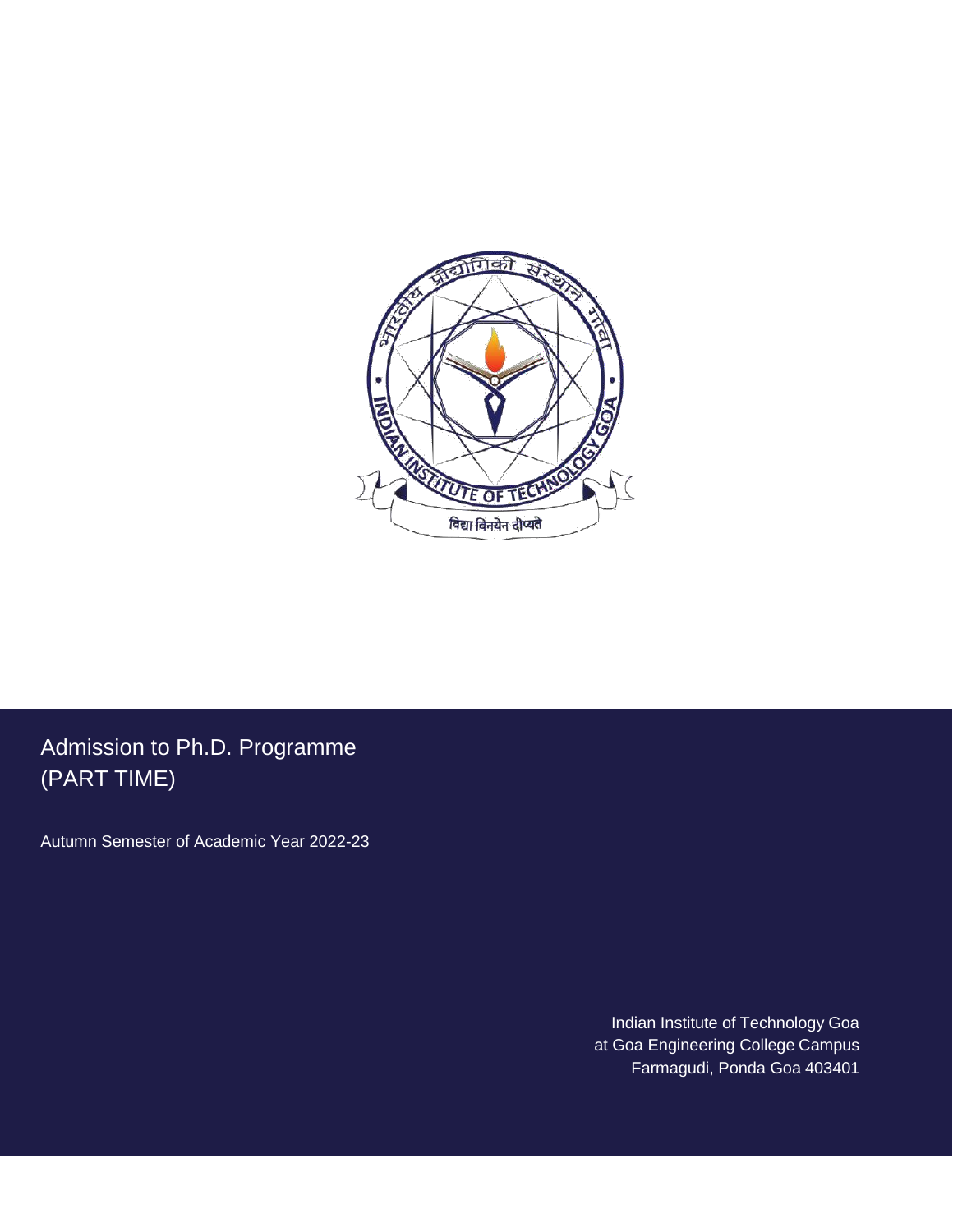

Admission to Ph.D. Programme (PART TIME)

Autumn Semester of Academic Year 2022-23

Indian Institute of Technology Goa at Goa Engineering College Campus Farmagudi, Ponda Goa 403401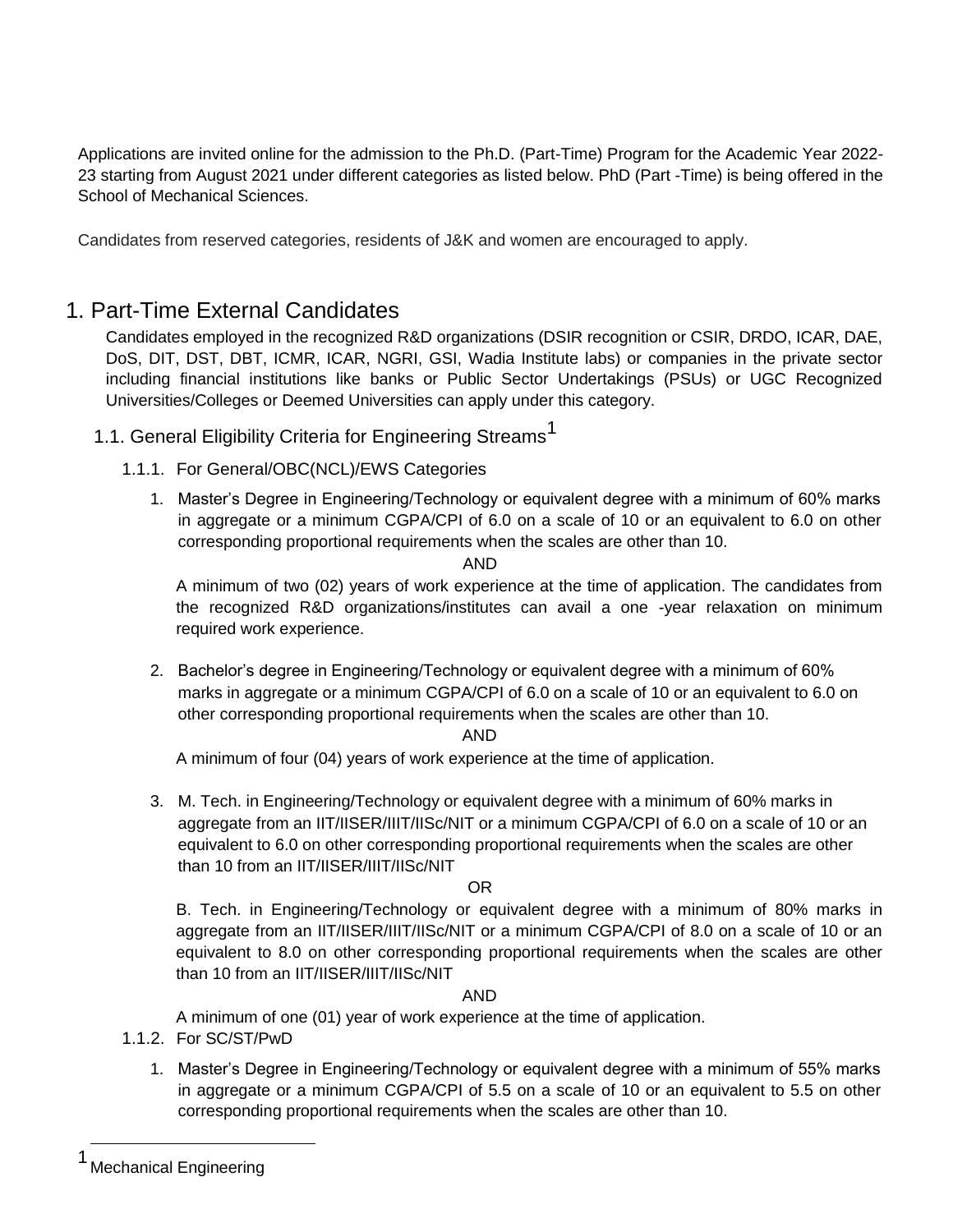Applications are invited online for the admission to the Ph.D. (Part-Time) Program for the Academic Year 2022- 23 starting from August 2021 under different categories as listed below. PhD (Part -Time) is being offered in the School of Mechanical Sciences.

Candidates from reserved categories, residents of J&K and women are encouraged to apply.

# 1. Part-Time External Candidates

Candidates employed in the recognized R&D organizations (DSIR recognition or CSIR, DRDO, ICAR, DAE, DoS, DIT, DST, DBT, ICMR, ICAR, NGRI, GSI, Wadia Institute labs) or companies in the private sector including financial institutions like banks or Public Sector Undertakings (PSUs) or UGC Recognized Universities/Colleges or Deemed Universities can apply under this category.

- 1.1. General Eligibility Criteria for Engineering Streams<sup>1</sup>
	- 1.1.1. For General/OBC(NCL)/EWS Categories
		- 1. Master's Degree in Engineering/Technology or equivalent degree with a minimum of 60% marks in aggregate or a minimum CGPA/CPI of 6.0 on a scale of 10 or an equivalent to 6.0 on other corresponding proportional requirements when the scales are other than 10.

### AND

A minimum of two (02) years of work experience at the time of application. The candidates from the recognized R&D organizations/institutes can avail a one -year relaxation on minimum required work experience.

2. Bachelor's degree in Engineering/Technology or equivalent degree with a minimum of 60% marks in aggregate or a minimum CGPA/CPI of 6.0 on a scale of 10 or an equivalent to 6.0 on other corresponding proportional requirements when the scales are other than 10.

### AND

A minimum of four (04) years of work experience at the time of application.

3. M. Tech. in Engineering/Technology or equivalent degree with a minimum of 60% marks in aggregate from an IIT/IISER/IIIT/IISc/NIT or a minimum CGPA/CPI of 6.0 on a scale of 10 or an equivalent to 6.0 on other corresponding proportional requirements when the scales are other than 10 from an IIT/IISER/IIIT/IISc/NIT

### OR

B. Tech. in Engineering/Technology or equivalent degree with a minimum of 80% marks in aggregate from an IIT/IISER/IIIT/IISc/NIT or a minimum CGPA/CPI of 8.0 on a scale of 10 or an equivalent to 8.0 on other corresponding proportional requirements when the scales are other than 10 from an IIT/IISER/IIIT/IISc/NIT

#### AND

A minimum of one (01) year of work experience at the time of application.

- 1.1.2. For SC/ST/PwD
	- 1. Master's Degree in Engineering/Technology or equivalent degree with a minimum of 55% marks in aggregate or a minimum CGPA/CPI of 5.5 on a scale of 10 or an equivalent to 5.5 on other corresponding proportional requirements when the scales are other than 10.

**Mechanical Engineering**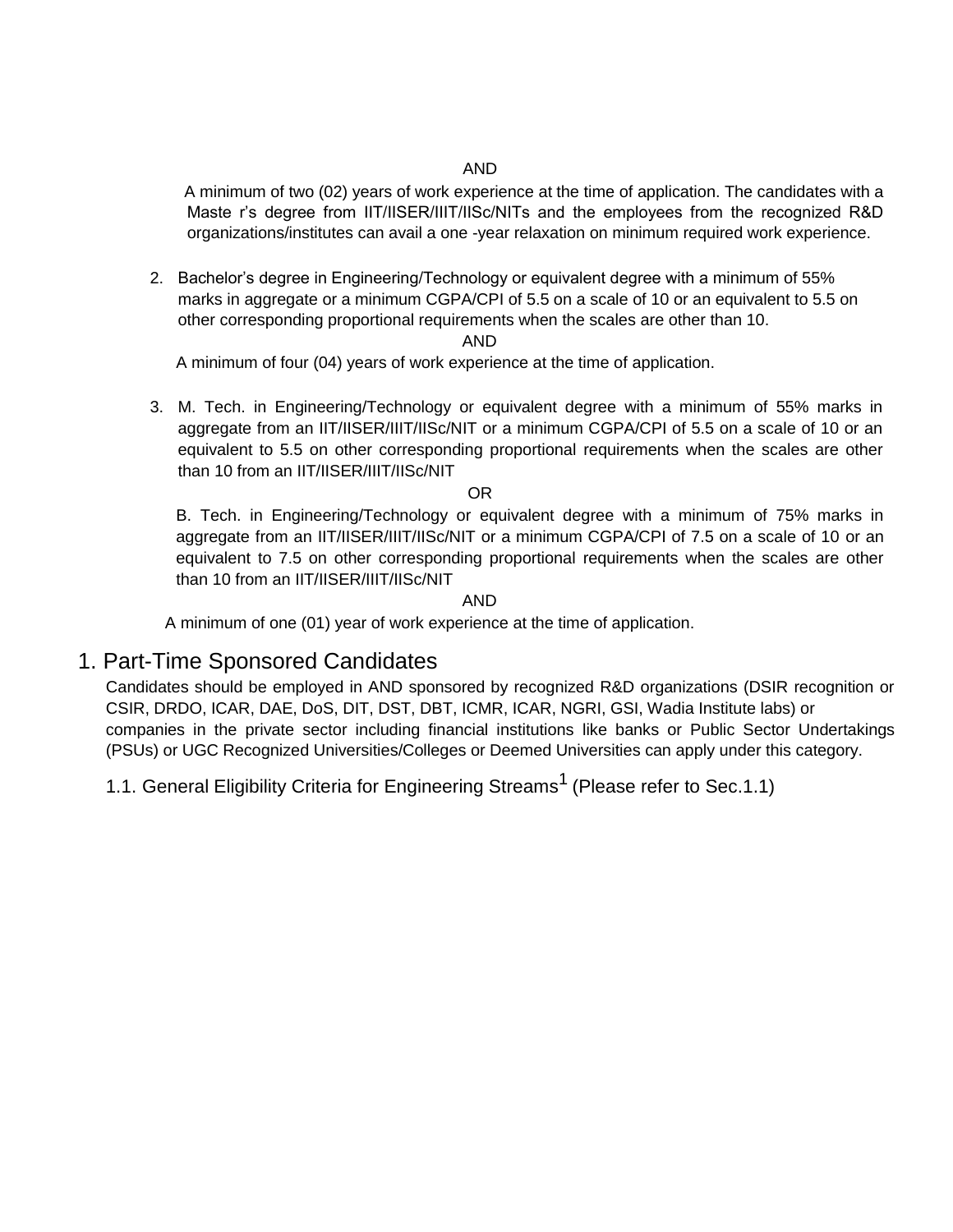#### AND

A minimum of two (02) years of work experience at the time of application. The candidates with a Maste r's degree from IIT/IISER/IIIT/IISc/NITs and the employees from the recognized R&D organizations/institutes can avail a one -year relaxation on minimum required work experience.

2. Bachelor's degree in Engineering/Technology or equivalent degree with a minimum of 55% marks in aggregate or a minimum CGPA/CPI of 5.5 on a scale of 10 or an equivalent to 5.5 on other corresponding proportional requirements when the scales are other than 10.

AND

A minimum of four (04) years of work experience at the time of application.

3. M. Tech. in Engineering/Technology or equivalent degree with a minimum of 55% marks in aggregate from an IIT/IISER/IIIT/IISc/NIT or a minimum CGPA/CPI of 5.5 on a scale of 10 or an equivalent to 5.5 on other corresponding proportional requirements when the scales are other than 10 from an IIT/IISER/IIIT/IISc/NIT

#### OR

B. Tech. in Engineering/Technology or equivalent degree with a minimum of 75% marks in aggregate from an IIT/IISER/IIIT/IISc/NIT or a minimum CGPA/CPI of 7.5 on a scale of 10 or an equivalent to 7.5 on other corresponding proportional requirements when the scales are other than 10 from an IIT/IISER/IIIT/IISc/NIT

AND

A minimum of one (01) year of work experience at the time of application.

## 1. Part-Time Sponsored Candidates

Candidates should be employed in AND sponsored by recognized R&D organizations (DSIR recognition or CSIR, DRDO, ICAR, DAE, DoS, DIT, DST, DBT, ICMR, ICAR, NGRI, GSI, Wadia Institute labs) or companies in the private sector including financial institutions like banks or Public Sector Undertakings (PSUs) or UGC Recognized Universities/Colleges or Deemed Universities can apply under this category.

1.1. General Eligibility Criteria for Engineering Streams<sup>1</sup> (Please refer to Sec.1.1)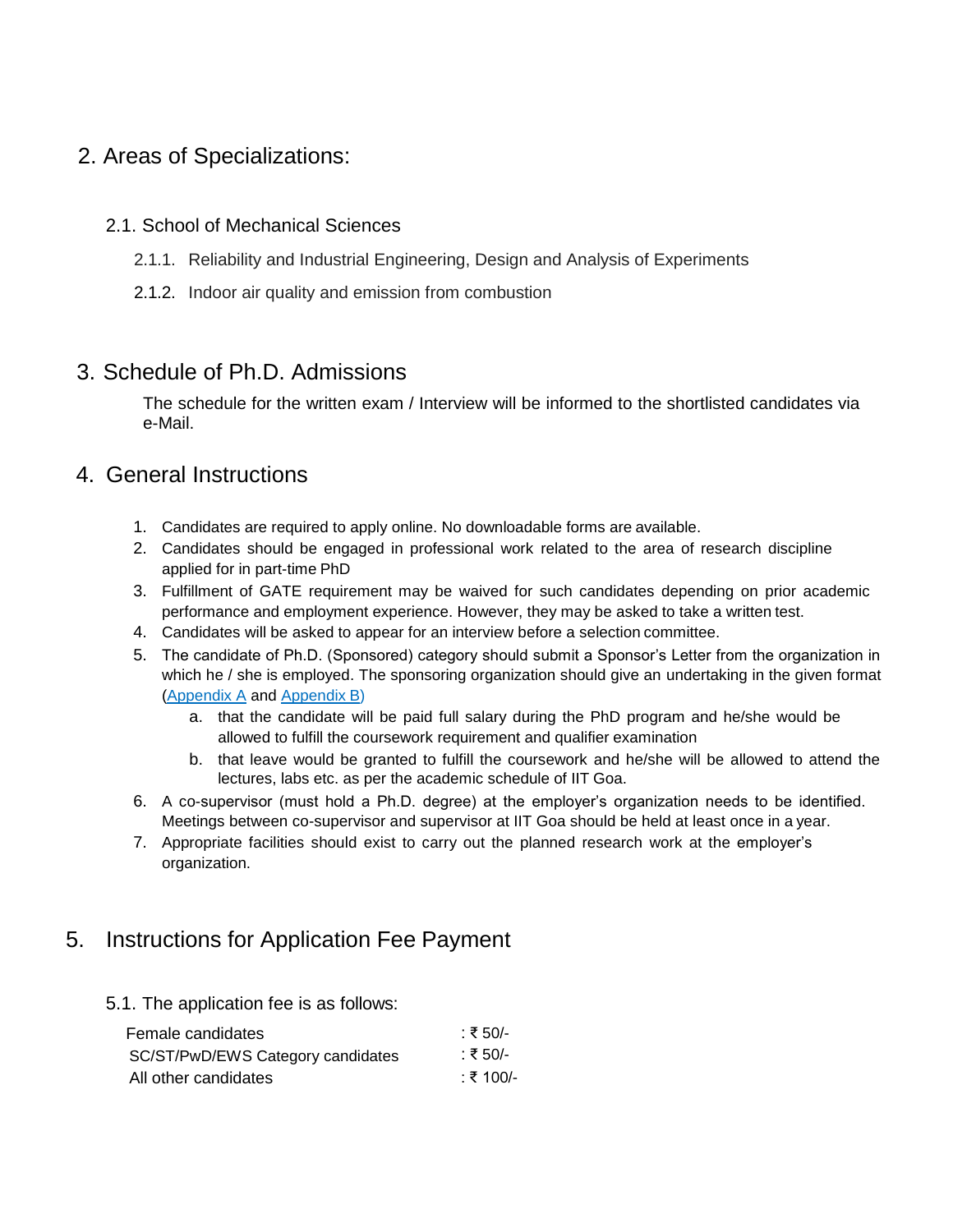# 2. Areas of Specializations:

## 2.1. School of Mechanical Sciences

- 2.1.1. Reliability and Industrial Engineering, Design and Analysis of Experiments
- 2.1.2. Indoor air quality and emission from combustion

# 3. Schedule of Ph.D. Admissions

The schedule for the written exam / Interview will be informed to the shortlisted candidates via e-Mail.

# 4. General Instructions

- 1. Candidates are required to apply online. No downloadable forms are available.
- 2. Candidates should be engaged in professional work related to the area of research discipline applied for in part-time PhD
- 3. Fulfillment of GATE requirement may be waived for such candidates depending on prior academic performance and employment experience. However, they may be asked to take a written test.
- 4. Candidates will be asked to appear for an interview before a selection committee.
- 5. The candidate of Ph.D. (Sponsored) category should submit a Sponsor's Letter from the organization in which he / she is employed. The sponsoring organization should give an undertaking in the given format (Appendix A and Appendix B)
	- a. that the candidate will be paid full salary during the PhD program and he/she would be allowed to fulfill the coursework requirement and qualifier examination
	- b. that leave would be granted to fulfill the coursework and he/she will be allowed to attend the lectures, labs etc. as per the academic schedule of IIT Goa.
- 6. A co-supervisor (must hold a Ph.D. degree) at the employer's organization needs to be identified. Meetings between co-supervisor and supervisor at IIT Goa should be held at least once in a year.
- 7. Appropriate facilities should exist to carry out the planned research work at the employer's organization.

# 5. Instructions for Application Fee Payment

5.1. The application fee is as follows:

| Female candidates                 | ∷ ₹ 50/-  |
|-----------------------------------|-----------|
| SC/ST/PwD/EWS Category candidates | ∷ ₹ 50/-  |
| All other candidates              | ∷ ₹ 100/- |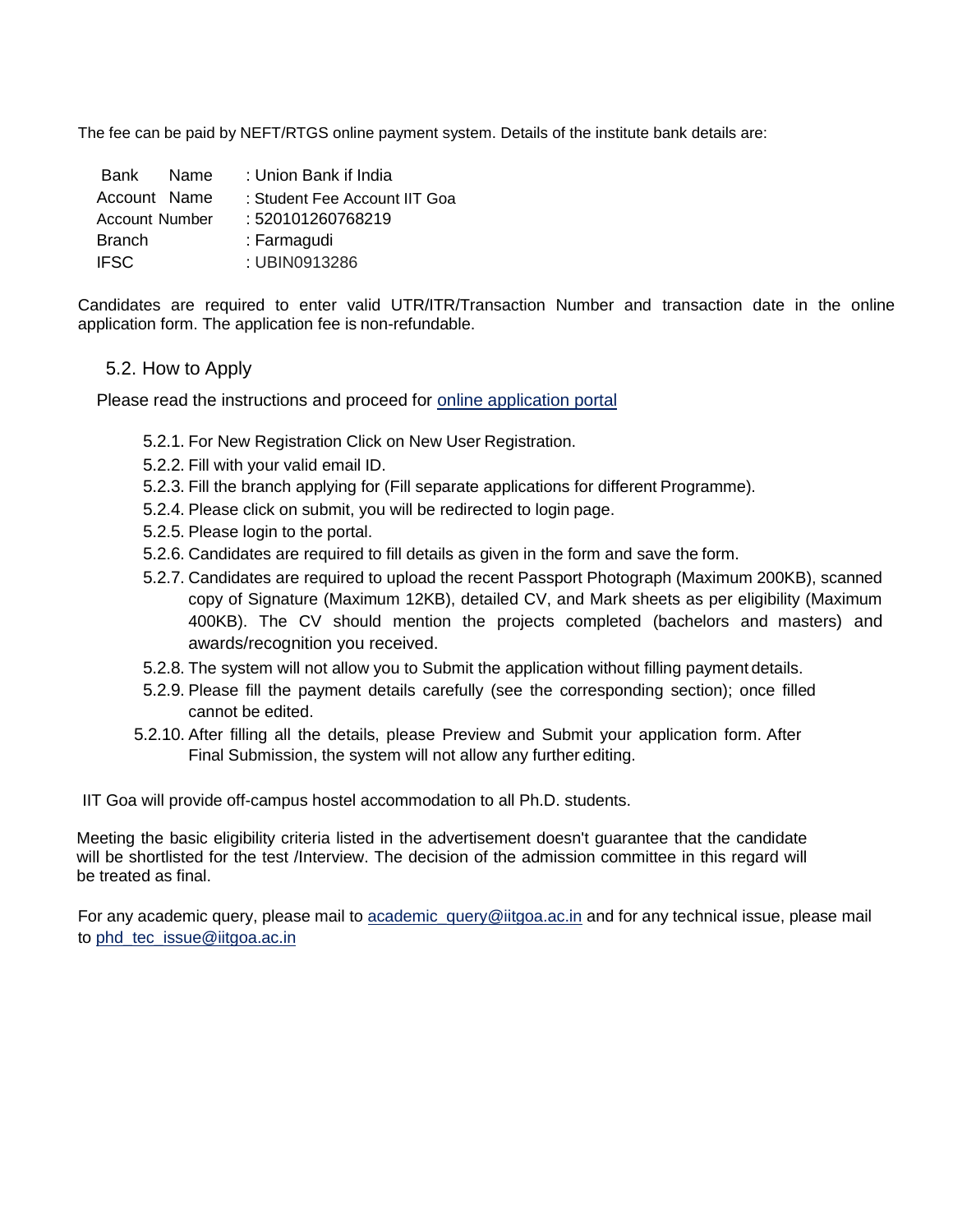The fee can be paid by NEFT/RTGS online payment system. Details of the institute bank details are:

| Bank Name      | : Union Bank if India         |
|----------------|-------------------------------|
| Account Name   | : Student Fee Account IIT Goa |
| Account Number | : 520101260768219             |
| <b>Branch</b>  | : Farmagudi                   |
| <b>IFSC</b>    | : UBIN0913286                 |

Candidates are required to enter valid UTR/ITR/Transaction Number and transaction date in the online application form. The application fee is non-refundable.

### 5.2. How to Apply

Please read the instructions and proceed for online application portal

- 5.2.1. For New Registration Click on New User Registration.
- 5.2.2. Fill with your valid email ID.
- 5.2.3. Fill the branch applying for (Fill separate applications for different Programme).
- 5.2.4. Please click on submit, you will be redirected to login page.
- 5.2.5. Please login to the portal.
- 5.2.6. Candidates are required to fill details as given in the form and save the form.
- 5.2.7. Candidates are required to upload the recent Passport Photograph (Maximum 200KB), scanned copy of Signature (Maximum 12KB), detailed CV, and Mark sheets as per eligibility (Maximum 400KB). The CV should mention the projects completed (bachelors and masters) and awards/recognition you received.
- 5.2.8. The system will not allow you to Submit the application without filling payment details.
- 5.2.9. Please fill the payment details carefully (see the corresponding section); once filled cannot be edited.
- 5.2.10. After filling all the details, please Preview and Submit your application form. After Final Submission, the system will not allow any further editing.

IIT Goa will provide off-campus hostel accommodation to all Ph.D. students.

Meeting the basic eligibility criteria listed in the advertisement doesn't guarantee that the candidate will be shortlisted for the test /Interview. The decision of the admission committee in this regard will be treated as final.

For any academic query, please mail to [academic\\_query@iitgoa.ac.in](mailto:academic_query@iitgoa.ac.in) and for any technical issue, please mail to [phd\\_tec\\_issue@iitgoa.ac.in](mailto:phd_tec_issue@iitgoa.ac.in)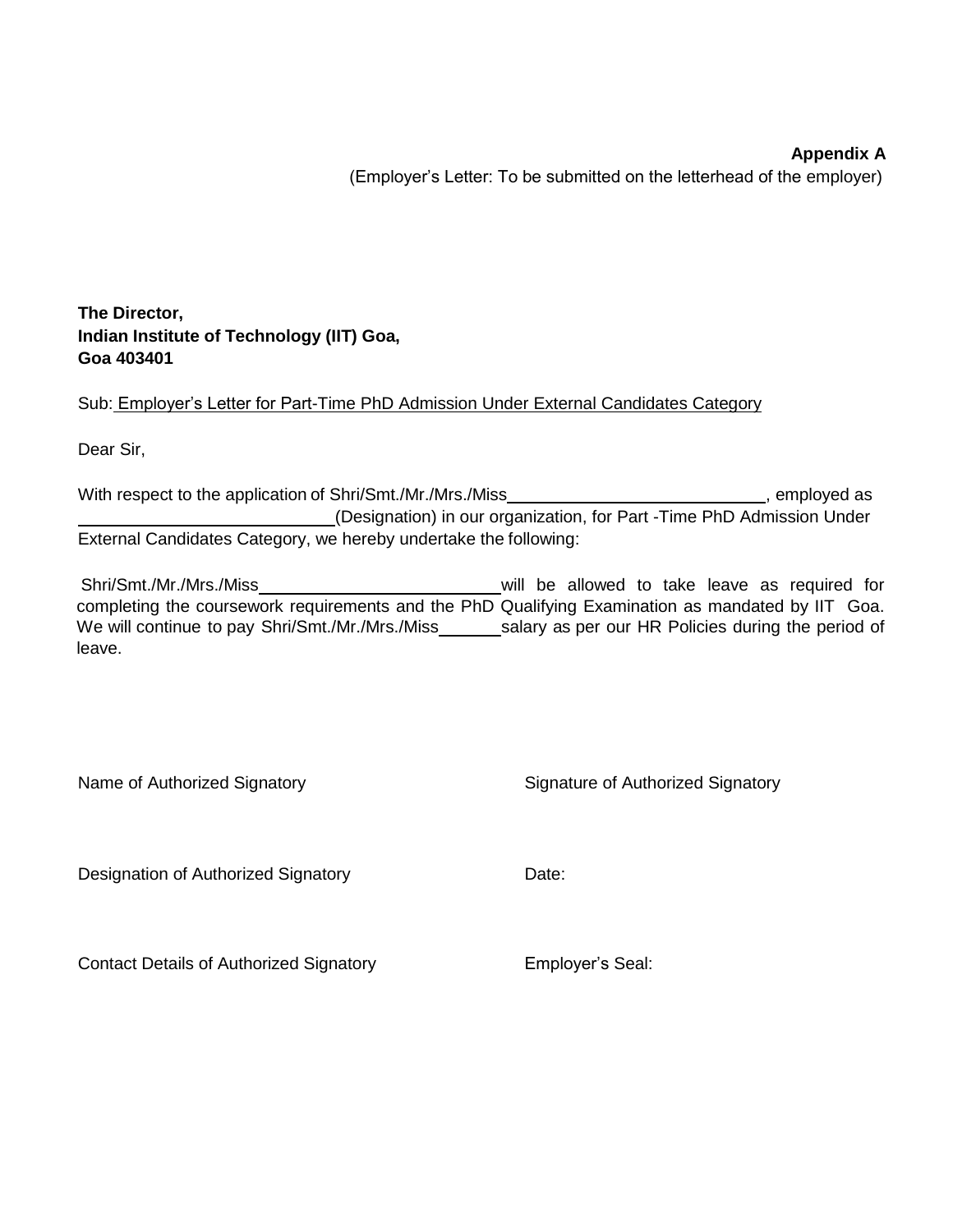## **Appendix A**

(Employer's Letter: To be submitted on the letterhead of the employer)

### **The Director, Indian Institute of Technology (IIT) Goa, Goa 403401**

Sub: Employer's Letter for Part-Time PhD Admission Under External Candidates Category

Dear Sir,

With respect to the application of Shri/Smt./Mr./Mrs./Miss **and the application**, employed as (Designation) in our organization, for Part -Time PhD Admission Under External Candidates Category, we hereby undertake the following:

Shri/Smt./Mr./Mrs./Miss will be allowed to take leave as required for completing the coursework requirements and the PhD Qualifying Examination as mandated by IIT Goa. We will continue to pay Shri/Smt./Mr./Mrs./Miss salary as per our HR Policies during the period of leave.

| Name of Authorized Signatory | Signature of Authorized Signatory |
|------------------------------|-----------------------------------|
|                              |                                   |

Designation of Authorized Signatory **Date:** Date:

Contact Details of Authorized Signatory **Employer's Seal:**